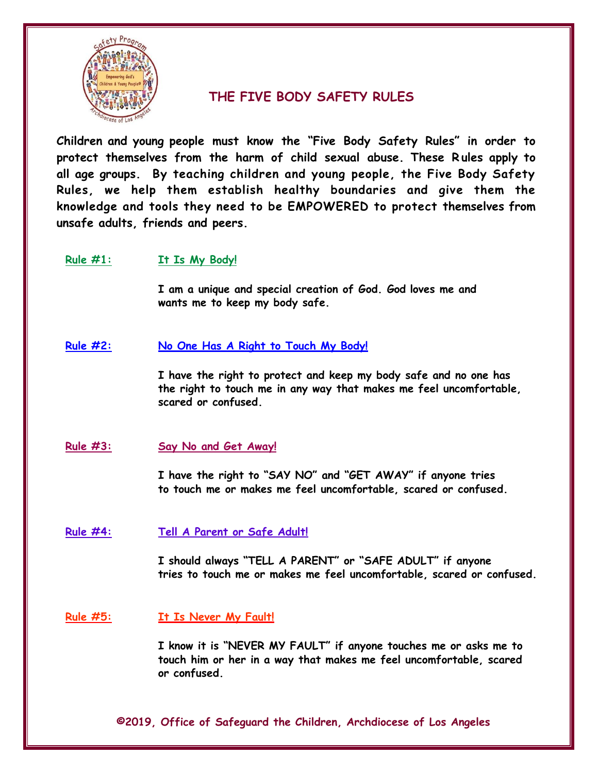

# **THE FIVE BODY SAFETY RULES**

**Children and young people must know the "Five Body Safety Rules" in order to protect themselves from the harm of child sexual abuse. These R ules apply to all age groups. By teaching children and young people, the Five Body Safety Rules, we help them establish healthy boundaries and give them the knowledge and tools they need to be EMPOWERED to protect themselves from unsafe adults, friends and peers.**

## **Rule #1: It Is My Body!**

**I am a unique and special creation of God. God loves me and wants me to keep my body safe.** 

**Rule #2: No One Has A Right to Touch My Body!**

**I have the right to protect and keep my body safe and no one has the right to touch me in any way that makes me feel uncomfortable, scared or confused.**

**Rule #3: Say No and Get Away!**

**I have the right to "SAY NO" and "GET AWAY" if anyone tries to touch me or makes me feel uncomfortable, scared or confused.**

**Rule #4: Tell A Parent or Safe Adult!**

**I should always "TELL A PARENT" or "SAFE ADULT" if anyone tries to touch me or makes me feel uncomfortable, scared or confused.**

**Rule #5: It Is Never My Fault!**

**I know it is "NEVER MY FAULT" if anyone touches me or asks me to touch him or her in a way that makes me feel uncomfortable, scared or confused.**

**©2019, Office of Safeguard the Children, Archdiocese of Los Angeles**